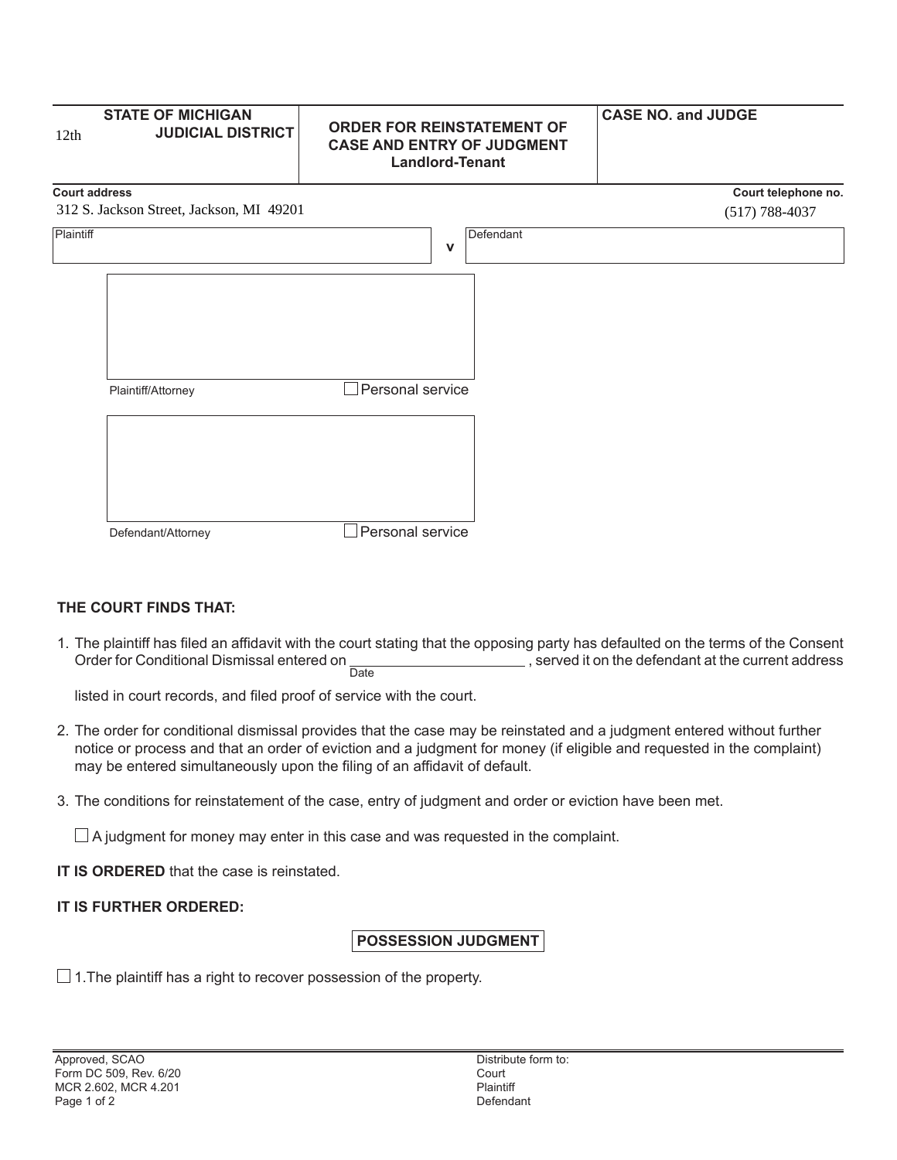| 12th      | <b>STATE OF MICHIGAN</b><br><b>JUDICIAL DISTRICT</b> | <b>ORDER FOR REINSTATEMENT OF</b><br><b>CASE AND ENTRY OF JUDGMENT</b><br><b>Landlord-Tenant</b> | <b>CASE NO. and JUDGE</b> |
|-----------|------------------------------------------------------|--------------------------------------------------------------------------------------------------|---------------------------|
|           | <b>Court address</b>                                 |                                                                                                  | Court telephone no.       |
|           | 312 S. Jackson Street, Jackson, MI 49201             |                                                                                                  | $(517) 788 - 4037$        |
| Plaintiff |                                                      | Defendant<br>$\mathbf v$                                                                         |                           |
|           | Plaintiff/Attorney                                   | Personal service                                                                                 |                           |
|           |                                                      |                                                                                                  |                           |
|           | Defendant/Attorney                                   | Personal service                                                                                 |                           |

## **THE COURT FINDS THAT:**

1. The plaintiff has filed an affidavit with the court stating that the opposing party has defaulted on the terms of the Consent Order for Conditional Dismissal entered on Date **Fig. 2.1 Served it on the defendant at the current address** 

listed in court records, and filed proof of service with the court.

- 2. The order for conditional dismissal provides that the case may be reinstated and a judgment entered without further notice or process and that an order of eviction and a judgment for money (if eligible and requested in the complaint) may be entered simultaneously upon the filing of an affidavit of default.
- 3. The conditions for reinstatement of the case, entry of judgment and order or eviction have been met.

 $\Box$  A judgment for money may enter in this case and was requested in the complaint.

**IT IS ORDERED** that the case is reinstated.

## **IT IS FURTHER ORDERED:**

## **POSSESSION JUDGMENT**

 $\Box$  1. The plaintiff has a right to recover possession of the property.